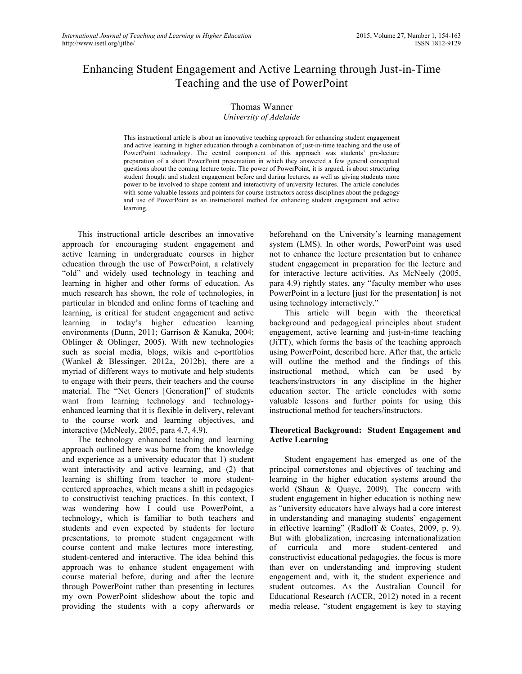# Enhancing Student Engagement and Active Learning through Just-in-Time Teaching and the use of PowerPoint

# Thomas Wanner

### *University of Adelaide*

This instructional article is about an innovative teaching approach for enhancing student engagement and active learning in higher education through a combination of just-in-time teaching and the use of PowerPoint technology. The central component of this approach was students' pre-lecture preparation of a short PowerPoint presentation in which they answered a few general conceptual questions about the coming lecture topic. The power of PowerPoint, it is argued, is about structuring student thought and student engagement before and during lectures, as well as giving students more power to be involved to shape content and interactivity of university lectures. The article concludes with some valuable lessons and pointers for course instructors across disciplines about the pedagogy and use of PowerPoint as an instructional method for enhancing student engagement and active learning.

This instructional article describes an innovative approach for encouraging student engagement and active learning in undergraduate courses in higher education through the use of PowerPoint, a relatively "old" and widely used technology in teaching and learning in higher and other forms of education. As much research has shown, the role of technologies, in particular in blended and online forms of teaching and learning, is critical for student engagement and active learning in today's higher education learning environments (Dunn, 2011; Garrison & Kanuka, 2004; Oblinger & Oblinger, 2005). With new technologies such as social media, blogs, wikis and e-portfolios (Wankel & Blessinger, 2012a, 2012b), there are a myriad of different ways to motivate and help students to engage with their peers, their teachers and the course material. The "Net Geners [Generation]" of students want from learning technology and technologyenhanced learning that it is flexible in delivery, relevant to the course work and learning objectives, and interactive (McNeely, 2005, para 4.7, 4.9).

The technology enhanced teaching and learning approach outlined here was borne from the knowledge and experience as a university educator that 1) student want interactivity and active learning, and (2) that learning is shifting from teacher to more studentcentered approaches, which means a shift in pedagogies to constructivist teaching practices. In this context, I was wondering how I could use PowerPoint, a technology, which is familiar to both teachers and students and even expected by students for lecture presentations, to promote student engagement with course content and make lectures more interesting, student-centered and interactive. The idea behind this approach was to enhance student engagement with course material before, during and after the lecture through PowerPoint rather than presenting in lectures my own PowerPoint slideshow about the topic and providing the students with a copy afterwards or beforehand on the University's learning management system (LMS). In other words, PowerPoint was used not to enhance the lecture presentation but to enhance student engagement in preparation for the lecture and for interactive lecture activities. As McNeely (2005, para 4.9) rightly states, any "faculty member who uses PowerPoint in a lecture [just for the presentation] is not using technology interactively."

This article will begin with the theoretical background and pedagogical principles about student engagement, active learning and just-in-time teaching (JiTT), which forms the basis of the teaching approach using PowerPoint, described here. After that, the article will outline the method and the findings of this instructional method, which can be used by teachers/instructors in any discipline in the higher education sector. The article concludes with some valuable lessons and further points for using this instructional method for teachers/instructors.

#### **Theoretical Background: Student Engagement and Active Learning**

Student engagement has emerged as one of the principal cornerstones and objectives of teaching and learning in the higher education systems around the world (Shaun & Quaye, 2009). The concern with student engagement in higher education is nothing new as "university educators have always had a core interest in understanding and managing students' engagement in effective learning" (Radloff & Coates, 2009, p. 9). But with globalization, increasing internationalization of curricula and more student-centered and constructivist educational pedagogies, the focus is more than ever on understanding and improving student engagement and, with it, the student experience and student outcomes. As the Australian Council for Educational Research (ACER, 2012) noted in a recent media release, "student engagement is key to staying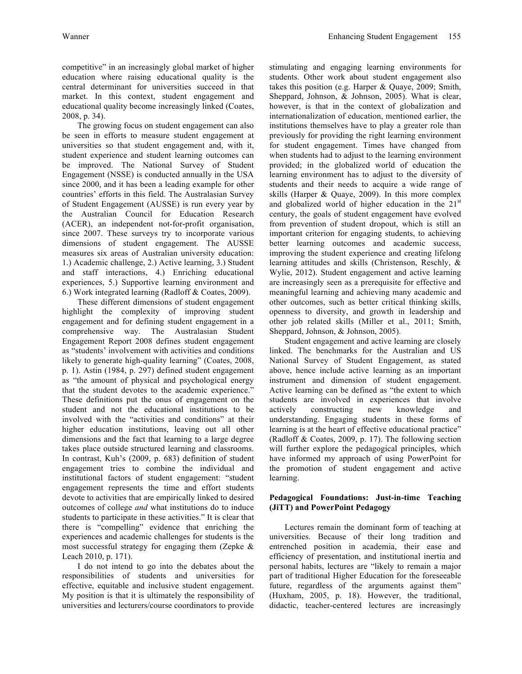competitive" in an increasingly global market of higher education where raising educational quality is the central determinant for universities succeed in that market. In this context, student engagement and educational quality become increasingly linked (Coates, 2008, p. 34).

The growing focus on student engagement can also be seen in efforts to measure student engagement at universities so that student engagement and, with it, student experience and student learning outcomes can be improved. The National Survey of Student Engagement (NSSE) is conducted annually in the USA since 2000, and it has been a leading example for other countries' efforts in this field. The Australasian Survey of Student Engagement (AUSSE) is run every year by the Australian Council for Education Research (ACER), an independent not-for-profit organisation, since 2007. These surveys try to incorporate various dimensions of student engagement. The AUSSE measures six areas of Australian university education: 1.) Academic challenge, 2.) Active learning, 3.) Student and staff interactions, 4.) Enriching educational experiences, 5.) Supportive learning environment and 6.) Work integrated learning (Radloff & Coates, 2009).

These different dimensions of student engagement highlight the complexity of improving student engagement and for defining student engagement in a comprehensive way. The Australasian Student Engagement Report 2008 defines student engagement as "students' involvement with activities and conditions likely to generate high-quality learning" (Coates, 2008, p. 1). Astin (1984, p. 297) defined student engagement as "the amount of physical and psychological energy that the student devotes to the academic experience." These definitions put the onus of engagement on the student and not the educational institutions to be involved with the "activities and conditions" at their higher education institutions, leaving out all other dimensions and the fact that learning to a large degree takes place outside structured learning and classrooms. In contrast, Kuh's (2009, p. 683) definition of student engagement tries to combine the individual and institutional factors of student engagement: "student engagement represents the time and effort students devote to activities that are empirically linked to desired outcomes of college *and* what institutions do to induce students to participate in these activities." It is clear that there is "compelling" evidence that enriching the experiences and academic challenges for students is the most successful strategy for engaging them (Zepke & Leach 2010, p. 171).

I do not intend to go into the debates about the responsibilities of students and universities for effective, equitable and inclusive student engagement. My position is that it is ultimately the responsibility of universities and lecturers/course coordinators to provide stimulating and engaging learning environments for students. Other work about student engagement also takes this position (e.g. Harper & Quaye, 2009; Smith, Sheppard, Johnson, & Johnson, 2005). What is clear, however, is that in the context of globalization and internationalization of education, mentioned earlier, the institutions themselves have to play a greater role than previously for providing the right learning environment for student engagement. Times have changed from when students had to adjust to the learning environment provided; in the globalized world of education the learning environment has to adjust to the diversity of students and their needs to acquire a wide range of skills (Harper & Quaye, 2009). In this more complex and globalized world of higher education in the  $21<sup>st</sup>$ century, the goals of student engagement have evolved from prevention of student dropout, which is still an important criterion for engaging students, to achieving better learning outcomes and academic success, improving the student experience and creating lifelong learning attitudes and skills (Christenson, Reschly, & Wylie, 2012). Student engagement and active learning are increasingly seen as a prerequisite for effective and meaningful learning and achieving many academic and other outcomes, such as better critical thinking skills, openness to diversity, and growth in leadership and other job related skills (Miller et al., 2011; Smith, Sheppard, Johnson, & Johnson, 2005).

Student engagement and active learning are closely linked. The benchmarks for the Australian and US National Survey of Student Engagement, as stated above, hence include active learning as an important instrument and dimension of student engagement. Active learning can be defined as "the extent to which students are involved in experiences that involve actively constructing new knowledge and understanding. Engaging students in these forms of learning is at the heart of effective educational practice" (Radloff & Coates, 2009, p. 17). The following section will further explore the pedagogical principles, which have informed my approach of using PowerPoint for the promotion of student engagement and active learning.

## **Pedagogical Foundations: Just-in-time Teaching (JiTT) and PowerPoint Pedagogy**

Lectures remain the dominant form of teaching at universities. Because of their long tradition and entrenched position in academia, their ease and efficiency of presentation, and institutional inertia and personal habits, lectures are "likely to remain a major part of traditional Higher Education for the foreseeable future, regardless of the arguments against them" (Huxham, 2005, p. 18). However, the traditional, didactic, teacher-centered lectures are increasingly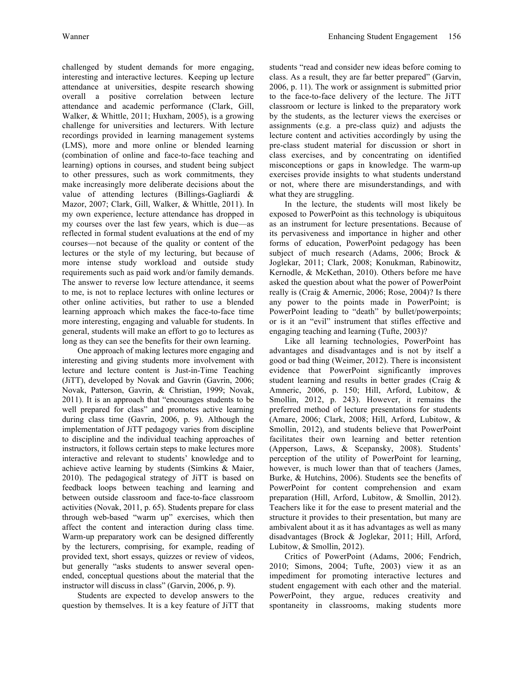challenged by student demands for more engaging, interesting and interactive lectures. Keeping up lecture attendance at universities, despite research showing overall a positive correlation between lecture attendance and academic performance (Clark, Gill, Walker, & Whittle, 2011; Huxham, 2005), is a growing challenge for universities and lecturers. With lecture recordings provided in learning management systems (LMS), more and more online or blended learning (combination of online and face-to-face teaching and learning) options in courses, and student being subject to other pressures, such as work commitments, they make increasingly more deliberate decisions about the value of attending lectures (Billings-Gagliardi & Mazor, 2007; Clark, Gill, Walker, & Whittle, 2011). In my own experience, lecture attendance has dropped in my courses over the last few years, which is due—as reflected in formal student evaluations at the end of my courses—not because of the quality or content of the lectures or the style of my lecturing, but because of more intense study workload and outside study requirements such as paid work and/or family demands. The answer to reverse low lecture attendance, it seems to me, is not to replace lectures with online lectures or other online activities, but rather to use a blended learning approach which makes the face-to-face time more interesting, engaging and valuable for students. In general, students will make an effort to go to lectures as long as they can see the benefits for their own learning.

One approach of making lectures more engaging and interesting and giving students more involvement with lecture and lecture content is Just-in-Time Teaching (JiTT), developed by Novak and Gavrin (Gavrin, 2006; Novak, Patterson, Gavrin, & Christian, 1999; Novak, 2011). It is an approach that "encourages students to be well prepared for class" and promotes active learning during class time (Gavrin, 2006, p. 9). Although the implementation of JiTT pedagogy varies from discipline to discipline and the individual teaching approaches of instructors, it follows certain steps to make lectures more interactive and relevant to students' knowledge and to achieve active learning by students (Simkins & Maier, 2010). The pedagogical strategy of JiTT is based on feedback loops between teaching and learning and between outside classroom and face-to-face classroom activities (Novak, 2011, p. 65). Students prepare for class through web-based "warm up" exercises, which then affect the content and interaction during class time. Warm-up preparatory work can be designed differently by the lecturers, comprising, for example, reading of provided text, short essays, quizzes or review of videos, but generally "asks students to answer several openended, conceptual questions about the material that the instructor will discuss in class" (Garvin, 2006, p. 9).

Students are expected to develop answers to the question by themselves. It is a key feature of JiTT that students "read and consider new ideas before coming to class. As a result, they are far better prepared" (Garvin, 2006, p. 11). The work or assignment is submitted prior to the face-to-face delivery of the lecture. The JiTT classroom or lecture is linked to the preparatory work by the students, as the lecturer views the exercises or assignments (e.g. a pre-class quiz) and adjusts the lecture content and activities accordingly by using the pre-class student material for discussion or short in class exercises, and by concentrating on identified misconceptions or gaps in knowledge. The warm-up exercises provide insights to what students understand or not, where there are misunderstandings, and with what they are struggling.

In the lecture, the students will most likely be exposed to PowerPoint as this technology is ubiquitous as an instrument for lecture presentations. Because of its pervasiveness and importance in higher and other forms of education, PowerPoint pedagogy has been subject of much research (Adams, 2006; Brock & Joglekar, 2011; Clark, 2008; Konukman, Rabinowitz, Kernodle, & McKethan, 2010). Others before me have asked the question about what the power of PowerPoint really is (Craig & Amernic, 2006; Rose, 2004)? Is there any power to the points made in PowerPoint; is PowerPoint leading to "death" by bullet/powerpoints; or is it an "evil" instrument that stifles effective and engaging teaching and learning (Tufte, 2003)?

Like all learning technologies, PowerPoint has advantages and disadvantages and is not by itself a good or bad thing (Weimer, 2012). There is inconsistent evidence that PowerPoint significantly improves student learning and results in better grades (Craig & Amneric, 2006, p. 150; Hill, Arford, Lubitow, & Smollin, 2012, p. 243). However, it remains the preferred method of lecture presentations for students (Amare, 2006; Clark, 2008; Hill, Arford, Lubitow, & Smollin, 2012), and students believe that PowerPoint facilitates their own learning and better retention (Apperson, Laws, & Scepansky, 2008). Students' perception of the utility of PowerPoint for learning, however, is much lower than that of teachers (James, Burke, & Hutchins, 2006). Students see the benefits of PowerPoint for content comprehension and exam preparation (Hill, Arford, Lubitow, & Smollin, 2012). Teachers like it for the ease to present material and the structure it provides to their presentation, but many are ambivalent about it as it has advantages as well as many disadvantages (Brock & Joglekar, 2011; Hill, Arford, Lubitow, & Smollin, 2012).

Critics of PowerPoint (Adams, 2006; Fendrich, 2010; Simons, 2004; Tufte, 2003) view it as an impediment for promoting interactive lectures and student engagement with each other and the material. PowerPoint, they argue, reduces creativity and spontaneity in classrooms, making students more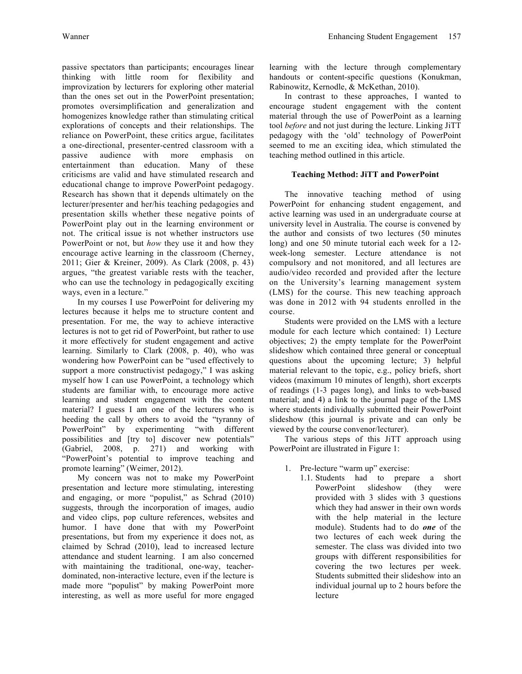passive spectators than participants; encourages linear thinking with little room for flexibility and improvization by lecturers for exploring other material than the ones set out in the PowerPoint presentation; promotes oversimplification and generalization and homogenizes knowledge rather than stimulating critical explorations of concepts and their relationships. The reliance on PowerPoint, these critics argue, facilitates a one-directional, presenter-centred classroom with a passive audience with more emphasis on entertainment than education. Many of these criticisms are valid and have stimulated research and educational change to improve PowerPoint pedagogy. Research has shown that it depends ultimately on the lecturer/presenter and her/his teaching pedagogies and presentation skills whether these negative points of PowerPoint play out in the learning environment or not. The critical issue is not whether instructors use PowerPoint or not, but *how* they use it and how they encourage active learning in the classroom (Cherney, 2011; Gier & Kreiner, 2009). As Clark (2008, p. 43) argues, "the greatest variable rests with the teacher, who can use the technology in pedagogically exciting ways, even in a lecture."

In my courses I use PowerPoint for delivering my lectures because it helps me to structure content and presentation. For me, the way to achieve interactive lectures is not to get rid of PowerPoint, but rather to use it more effectively for student engagement and active learning. Similarly to Clark (2008, p. 40), who was wondering how PowerPoint can be "used effectively to support a more constructivist pedagogy," I was asking myself how I can use PowerPoint, a technology which students are familiar with, to encourage more active learning and student engagement with the content material? I guess I am one of the lecturers who is heeding the call by others to avoid the "tyranny of PowerPoint" by experimenting "with different possibilities and [try to] discover new potentials" (Gabriel, 2008, p. 271) and working with "PowerPoint's potential to improve teaching and promote learning" (Weimer, 2012).

My concern was not to make my PowerPoint presentation and lecture more stimulating, interesting and engaging, or more "populist," as Schrad (2010) suggests, through the incorporation of images, audio and video clips, pop culture references, websites and humor. I have done that with my PowerPoint presentations, but from my experience it does not, as claimed by Schrad (2010), lead to increased lecture attendance and student learning. I am also concerned with maintaining the traditional, one-way, teacherdominated, non-interactive lecture, even if the lecture is made more "populist" by making PowerPoint more interesting, as well as more useful for more engaged learning with the lecture through complementary handouts or content-specific questions (Konukman, Rabinowitz, Kernodle, & McKethan, 2010).

In contrast to these approaches, I wanted to encourage student engagement with the content material through the use of PowerPoint as a learning tool *before* and not just during the lecture. Linking JiTT pedagogy with the 'old' technology of PowerPoint seemed to me an exciting idea, which stimulated the teaching method outlined in this article.

# **Teaching Method: JiTT and PowerPoint**

The innovative teaching method of using PowerPoint for enhancing student engagement, and active learning was used in an undergraduate course at university level in Australia. The course is convened by the author and consists of two lectures (50 minutes long) and one 50 minute tutorial each week for a 12 week-long semester. Lecture attendance is not compulsory and not monitored, and all lectures are audio/video recorded and provided after the lecture on the University's learning management system (LMS) for the course. This new teaching approach was done in 2012 with 94 students enrolled in the course.

Students were provided on the LMS with a lecture module for each lecture which contained: 1) Lecture objectives; 2) the empty template for the PowerPoint slideshow which contained three general or conceptual questions about the upcoming lecture; 3) helpful material relevant to the topic, e.g., policy briefs, short videos (maximum 10 minutes of length), short excerpts of readings (1-3 pages long), and links to web-based material; and 4) a link to the journal page of the LMS where students individually submitted their PowerPoint slideshow (this journal is private and can only be viewed by the course convenor/lecturer).

The various steps of this JiTT approach using PowerPoint are illustrated in Figure 1:

- 1. Pre-lecture "warm up" exercise:
	- 1.1. Students had to prepare a short PowerPoint slideshow (they were provided with 3 slides with 3 questions which they had answer in their own words with the help material in the lecture module). Students had to do *one* of the two lectures of each week during the semester. The class was divided into two groups with different responsibilities for covering the two lectures per week. Students submitted their slideshow into an individual journal up to 2 hours before the lecture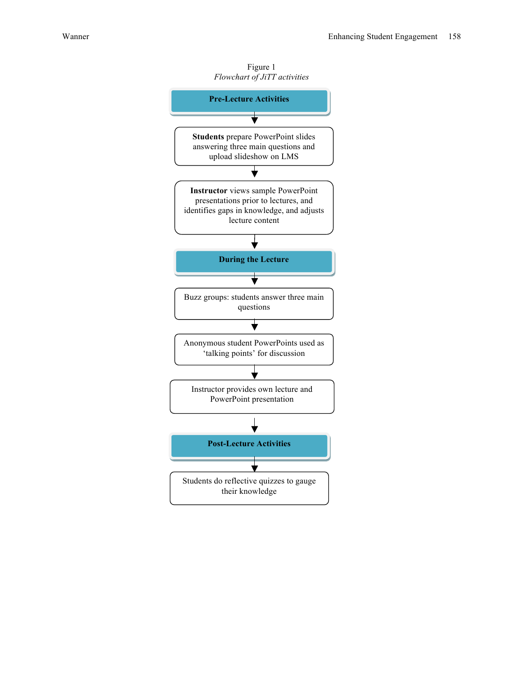

Figure 1 *Flowchart of JiTT activities*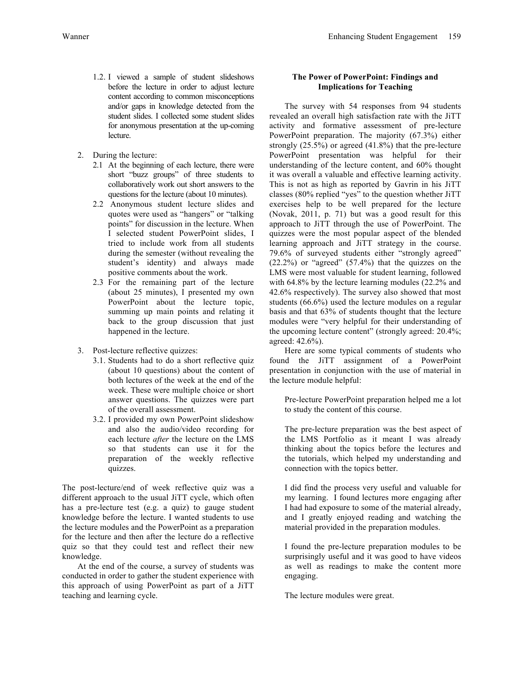- 1.2. I viewed a sample of student slideshows before the lecture in order to adjust lecture content according to common misconceptions and/or gaps in knowledge detected from the student slides. I collected some student slides for anonymous presentation at the up-coming lecture.
- 2. During the lecture:
	- 2.1 At the beginning of each lecture, there were short "buzz groups" of three students to collaboratively work out short answers to the questions for the lecture (about 10 minutes).
	- 2.2 Anonymous student lecture slides and quotes were used as "hangers" or "talking points" for discussion in the lecture. When I selected student PowerPoint slides, I tried to include work from all students during the semester (without revealing the student's identity) and always made positive comments about the work.
	- 2.3 For the remaining part of the lecture (about 25 minutes), I presented my own PowerPoint about the lecture topic, summing up main points and relating it back to the group discussion that just happened in the lecture.
- 3. Post-lecture reflective quizzes:
	- 3.1. Students had to do a short reflective quiz (about 10 questions) about the content of both lectures of the week at the end of the week. These were multiple choice or short answer questions. The quizzes were part of the overall assessment.
	- 3.2. I provided my own PowerPoint slideshow and also the audio/video recording for each lecture *after* the lecture on the LMS so that students can use it for the preparation of the weekly reflective quizzes.

The post-lecture/end of week reflective quiz was a different approach to the usual JiTT cycle, which often has a pre-lecture test (e.g. a quiz) to gauge student knowledge before the lecture. I wanted students to use the lecture modules and the PowerPoint as a preparation for the lecture and then after the lecture do a reflective quiz so that they could test and reflect their new knowledge.

At the end of the course, a survey of students was conducted in order to gather the student experience with this approach of using PowerPoint as part of a JiTT teaching and learning cycle.

# **The Power of PowerPoint: Findings and Implications for Teaching**

The survey with 54 responses from 94 students revealed an overall high satisfaction rate with the JiTT activity and formative assessment of pre-lecture PowerPoint preparation. The majority (67.3%) either strongly (25.5%) or agreed (41.8%) that the pre-lecture PowerPoint presentation was helpful for their understanding of the lecture content, and 60% thought it was overall a valuable and effective learning activity. This is not as high as reported by Gavrin in his JiTT classes (80% replied "yes" to the question whether JiTT exercises help to be well prepared for the lecture (Novak, 2011, p. 71) but was a good result for this approach to JiTT through the use of PowerPoint. The quizzes were the most popular aspect of the blended learning approach and JiTT strategy in the course. 79.6% of surveyed students either "strongly agreed"  $(22.2\%)$  or "agreed"  $(57.4\%)$  that the quizzes on the LMS were most valuable for student learning, followed with 64.8% by the lecture learning modules (22.2% and 42.6% respectively). The survey also showed that most students (66.6%) used the lecture modules on a regular basis and that 63% of students thought that the lecture modules were "very helpful for their understanding of the upcoming lecture content" (strongly agreed: 20.4%; agreed: 42.6%).

Here are some typical comments of students who found the JiTT assignment of a PowerPoint presentation in conjunction with the use of material in the lecture module helpful:

Pre-lecture PowerPoint preparation helped me a lot to study the content of this course.

The pre-lecture preparation was the best aspect of the LMS Portfolio as it meant I was already thinking about the topics before the lectures and the tutorials, which helped my understanding and connection with the topics better.

I did find the process very useful and valuable for my learning. I found lectures more engaging after I had had exposure to some of the material already, and I greatly enjoyed reading and watching the material provided in the preparation modules.

I found the pre-lecture preparation modules to be surprisingly useful and it was good to have videos as well as readings to make the content more engaging.

The lecture modules were great.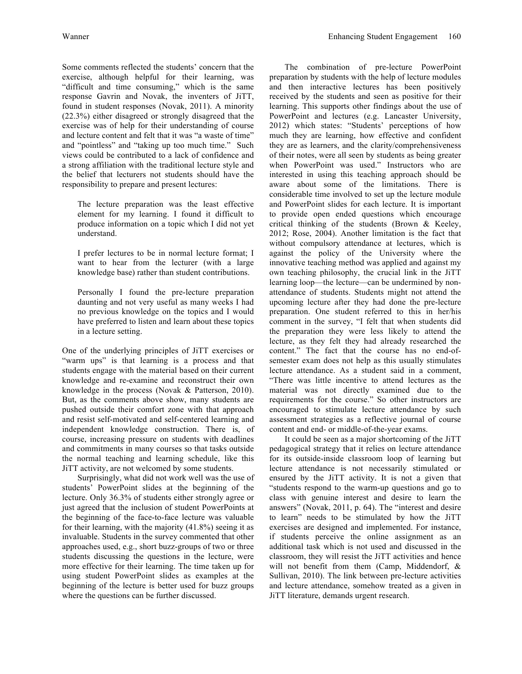Some comments reflected the students' concern that the exercise, although helpful for their learning, was "difficult and time consuming," which is the same response Gavrin and Novak, the inventers of JiTT, found in student responses (Novak, 2011). A minority (22.3%) either disagreed or strongly disagreed that the exercise was of help for their understanding of course and lecture content and felt that it was "a waste of time" and "pointless" and "taking up too much time." Such views could be contributed to a lack of confidence and a strong affiliation with the traditional lecture style and the belief that lecturers not students should have the responsibility to prepare and present lectures:

The lecture preparation was the least effective element for my learning. I found it difficult to produce information on a topic which I did not yet understand.

I prefer lectures to be in normal lecture format; I want to hear from the lecturer (with a large knowledge base) rather than student contributions.

Personally I found the pre-lecture preparation daunting and not very useful as many weeks I had no previous knowledge on the topics and I would have preferred to listen and learn about these topics in a lecture setting.

One of the underlying principles of JiTT exercises or "warm ups" is that learning is a process and that students engage with the material based on their current knowledge and re-examine and reconstruct their own knowledge in the process (Novak & Patterson, 2010). But, as the comments above show, many students are pushed outside their comfort zone with that approach and resist self-motivated and self-centered learning and independent knowledge construction. There is, of course, increasing pressure on students with deadlines and commitments in many courses so that tasks outside the normal teaching and learning schedule, like this JiTT activity, are not welcomed by some students.

Surprisingly, what did not work well was the use of students' PowerPoint slides at the beginning of the lecture. Only 36.3% of students either strongly agree or just agreed that the inclusion of student PowerPoints at the beginning of the face-to-face lecture was valuable for their learning, with the majority (41.8%) seeing it as invaluable. Students in the survey commented that other approaches used, e.g., short buzz-groups of two or three students discussing the questions in the lecture, were more effective for their learning. The time taken up for using student PowerPoint slides as examples at the beginning of the lecture is better used for buzz groups where the questions can be further discussed.

The combination of pre-lecture PowerPoint preparation by students with the help of lecture modules and then interactive lectures has been positively received by the students and seen as positive for their learning. This supports other findings about the use of PowerPoint and lectures (e.g. Lancaster University, 2012) which states: "Students' perceptions of how much they are learning, how effective and confident they are as learners, and the clarity/comprehensiveness of their notes, were all seen by students as being greater when PowerPoint was used." Instructors who are interested in using this teaching approach should be aware about some of the limitations. There is considerable time involved to set up the lecture module and PowerPoint slides for each lecture. It is important to provide open ended questions which encourage critical thinking of the students (Brown & Keeley, 2012; Rose, 2004). Another limitation is the fact that without compulsory attendance at lectures, which is against the policy of the University where the innovative teaching method was applied and against my own teaching philosophy, the crucial link in the JiTT learning loop—the lecture—can be undermined by nonattendance of students. Students might not attend the upcoming lecture after they had done the pre-lecture preparation. One student referred to this in her/his comment in the survey, "I felt that when students did the preparation they were less likely to attend the lecture, as they felt they had already researched the content." The fact that the course has no end-ofsemester exam does not help as this usually stimulates lecture attendance. As a student said in a comment, "There was little incentive to attend lectures as the material was not directly examined due to the requirements for the course." So other instructors are encouraged to stimulate lecture attendance by such assessment strategies as a reflective journal of course content and end- or middle-of-the-year exams.

It could be seen as a major shortcoming of the JiTT pedagogical strategy that it relies on lecture attendance for its outside-inside classroom loop of learning but lecture attendance is not necessarily stimulated or ensured by the JiTT activity. It is not a given that "students respond to the warm-up questions and go to class with genuine interest and desire to learn the answers" (Novak, 2011, p. 64). The "interest and desire to learn" needs to be stimulated by how the JiTT exercises are designed and implemented. For instance, if students perceive the online assignment as an additional task which is not used and discussed in the classroom, they will resist the JiTT activities and hence will not benefit from them (Camp, Middendorf, & Sullivan, 2010). The link between pre-lecture activities and lecture attendance, somehow treated as a given in JiTT literature, demands urgent research.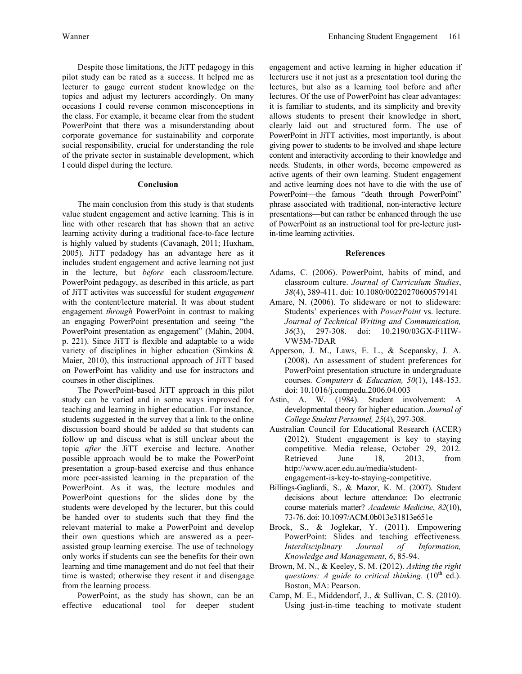Despite those limitations, the JiTT pedagogy in this pilot study can be rated as a success. It helped me as lecturer to gauge current student knowledge on the topics and adjust my lecturers accordingly. On many occasions I could reverse common misconceptions in the class. For example, it became clear from the student PowerPoint that there was a misunderstanding about corporate governance for sustainability and corporate social responsibility, crucial for understanding the role of the private sector in sustainable development, which I could dispel during the lecture.

#### **Conclusion**

The main conclusion from this study is that students value student engagement and active learning. This is in line with other research that has shown that an active learning activity during a traditional face-to-face lecture is highly valued by students (Cavanagh, 2011; Huxham, 2005). JiTT pedadogy has an advantage here as it includes student engagement and active learning not just in the lecture, but *before* each classroom/lecture. PowerPoint pedagogy, as described in this article, as part of JiTT activites was successful for student *engagement* with the content/lecture material. It was about student engagement *through* PowerPoint in contrast to making an engaging PowerPoint presentation and seeing "the PowerPoint presentation as engagement" (Mahin, 2004, p. 221). Since JiTT is flexible and adaptable to a wide variety of disciplines in higher education (Simkins & Maier, 2010), this instructional approach of JiTT based on PowerPoint has validity and use for instructors and courses in other disciplines.

The PowerPoint-based JiTT approach in this pilot study can be varied and in some ways improved for teaching and learning in higher education. For instance, students suggested in the survey that a link to the online discussion board should be added so that students can follow up and discuss what is still unclear about the topic *after* the JiTT exercise and lecture. Another possible approach would be to make the PowerPoint presentation a group-based exercise and thus enhance more peer-assisted learning in the preparation of the PowerPoint. As it was, the lecture modules and PowerPoint questions for the slides done by the students were developed by the lecturer, but this could be handed over to students such that they find the relevant material to make a PowerPoint and develop their own questions which are answered as a peerassisted group learning exercise. The use of technology only works if students can see the benefits for their own learning and time management and do not feel that their time is wasted; otherwise they resent it and disengage from the learning process.

PowerPoint, as the study has shown, can be an effective educational tool for deeper student engagement and active learning in higher education if lecturers use it not just as a presentation tool during the lectures, but also as a learning tool before and after lectures. Of the use of PowerPoint has clear advantages: it is familiar to students, and its simplicity and brevity allows students to present their knowledge in short, clearly laid out and structured form. The use of PowerPoint in JiTT activities, most importantly, is about giving power to students to be involved and shape lecture content and interactivity according to their knowledge and needs. Students, in other words, become empowered as active agents of their own learning. Student engagement and active learning does not have to die with the use of PowerPoint—the famous "death through PowerPoint" phrase associated with traditional, non-interactive lecture presentations—but can rather be enhanced through the use of PowerPoint as an instructional tool for pre-lecture justin-time learning activities.

#### **References**

- Adams, C. (2006). PowerPoint, habits of mind, and classroom culture. *Journal of Curriculum Studies*, *38*(4), 389-411. doi: 10.1080/00220270600579141
- Amare, N. (2006). To slideware or not to slideware: Students' experiences with *PowerPoint* vs. lecture. *Journal of Technical Writing and Communication, 36*(3), 297-308. doi: 10.2190/03GX-F1HW-VW5M-7DAR
- Apperson, J. M., Laws, E. L., & Scepansky, J. A. (2008). An assessment of student preferences for PowerPoint presentation structure in undergraduate courses. *Computers & Education, 50*(1), 148-153. doi: 10.1016/j.compedu.2006.04.003
- Astin, A. W. (1984). Student involvement: A developmental theory for higher education. *Journal of College Student Personnel, 25*(4), 297-308.
- Australian Council for Educational Research (ACER) (2012). Student engagement is key to staying competitive. Media release, October 29, 2012. Retrieved June 18, 2013, from http://www.acer.edu.au/media/studentengagement-is-key-to-staying-competitive.
- Billings-Gagliardi, S., & Mazor, K. M. (2007). Student decisions about lecture attendance: Do electronic course materials matter? *Academic Medicine*, *82*(10), 73-76. doi: 10.1097/ACM.0b013e31813e651e
- Brock, S., & Joglekar, Y. (2011). Empowering PowerPoint: Slides and teaching effectiveness. *Interdisciplinary Journal of Information, Knowledge and Management*, *6*, 85-94.
- Brown, M. N., & Keeley, S. M. (2012). *Asking the right questions: A guide to critical thinking.*  $(10<sup>th</sup> ed.).$ Boston, MA: Pearson.
- Camp, M. E., Middendorf, J., & Sullivan, C. S. (2010). Using just-in-time teaching to motivate student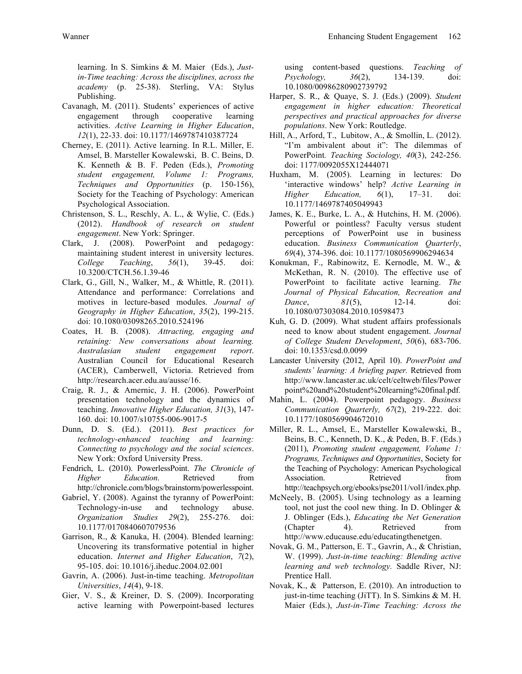learning. In S. Simkins & M. Maier (Eds.), *Justin-Time teaching: Across the disciplines, across the academy* (p. 25-38). Sterling, VA: Stylus Publishing.

- Cavanagh, M. (2011). Students' experiences of active engagement through cooperative learning activities. *Active Learning in Higher Education*, *12*(1), 22-33. doi: 10.1177/1469787410387724
- Cherney, E. (2011). Active learning. In R.L. Miller, E. Amsel, B. Marsteller Kowalewski, B. C. Beins, D. K. Kenneth & B. F. Peden (Eds.), *Promoting student engagement, Volume 1: Programs, Techniques and Opportunities* (p. 150-156), Society for the Teaching of Psychology: American Psychological Association.
- Christenson, S. L., Reschly, A. L., & Wylie, C. (Eds.) (2012). *Handbook of research on student engagement*. New York: Springer.
- Clark, J. (2008). PowerPoint and pedagogy: maintaining student interest in university lectures. *College Teaching*, *56*(1), 39-45. doi: 10.3200/CTCH.56.1.39-46
- Clark, G., Gill, N., Walker, M., & Whittle, R. (2011). Attendance and performance: Correlations and motives in lecture-based modules. *Journal of Geography in Higher Education*, *35*(2), 199-215. doi: 10.1080/03098265.2010.524196
- Coates, H. B. (2008). *Attracting, engaging and retaining: New conversations about learning. Australasian student engagement report*. Australian Council for Educational Research (ACER), Camberwell, Victoria. Retrieved from http://research.acer.edu.au/ausse/16.
- Craig, R. J., & Amernic, J. H. (2006). PowerPoint presentation technology and the dynamics of teaching. *Innovative Higher Education, 31*(3), 147- 160. doi: 10.1007/s10755-006-9017-5
- Dunn, D. S. (Ed.). (2011). *Best practices for technology-enhanced teaching and learning: Connecting to psychology and the social sciences*. New York: Oxford University Press.
- Fendrich, L. (2010). PowerlessPoint. *The Chronicle of Higher Education*. Retrieved from http://chronicle.com/blogs/brainstorm/powerlesspoint.
- Gabriel, Y. (2008). Against the tyranny of PowerPoint: Technology-in-use and technology abuse. *Organization Studies 29*(2), 255-276. doi: 10.1177/0170840607079536
- Garrison, R., & Kanuka, H. (2004). Blended learning: Uncovering its transformative potential in higher education. *Internet and Higher Education*, *7*(2), 95-105. doi: 10.1016/j.iheduc.2004.02.001
- Gavrin, A. (2006). Just-in-time teaching. *Metropolitan Universities*, *14*(4), 9-18.
- Gier, V. S., & Kreiner, D. S. (2009). Incorporating active learning with Powerpoint-based lectures

using content-based questions. *Teaching of Psychology, 36*(2), 134-139. doi: 10.1080/00986280902739792

- Harper, S. R., & Quaye, S. J. (Eds.) (2009). *Student engagement in higher education: Theoretical perspectives and practical approaches for diverse populations*. New York: Routledge.
- Hill, A., Arford, T., Lubitow, A., & Smollin, L. (2012). "I'm ambivalent about it": The dilemmas of PowerPoint*. Teaching Sociology, 40*(3), 242-256. doi: 1177/0092055X12444071
- Huxham, M. (2005). Learning in lectures: Do 'interactive windows' help? *Active Learning in Higher Education, 6*(1), 17–31. doi: 10.1177/1469787405049943
- James, K. E., Burke, L. A., & Hutchins, H. M. (2006). Powerful or pointless? Faculty versus student perceptions of PowerPoint use in business education. *Business Communication Quarterly*, *69*(4), 374-396. doi: 10.1177/1080569906294634
- Konukman, F., Rabinowitz, E. Kernodle, M. W., & McKethan, R. N. (2010). The effective use of PowerPoint to facilitate active learning. *The Journal of Physical Education, Recreation and Dance*, *81*(5), 12-14. doi: 10.1080/07303084.2010.10598473
- Kuh, G. D. (2009). What student affairs professionals need to know about student engagement. *Journal of College Student Development*, *50*(6), 683-706. doi: 10.1353/csd.0.0099
- Lancaster University (2012, April 10). *PowerPoint and students' learning: A briefing paper.* Retrieved from http://www.lancaster.ac.uk/celt/celtweb/files/Power point%20and%20student%20learning%20final.pdf*.*
- Mahin, L. (2004). Powerpoint pedagogy. *Business Communication Quarterly, 67*(2), 219-222. doi: 10.1177/1080569904672010
- Miller, R. L., Amsel, E., Marsteller Kowalewski, B., Beins, B. C., Kenneth, D. K., & Peden, B. F. (Eds.) (2011), *Promoting student engagement, Volume 1: Programs, Techniques and Opportunities*, Society for the Teaching of Psychology: American Psychological Association. Retrieved from http://teachpsych.org/ebooks/pse2011/vol1/index.php.
- McNeely, B. (2005). Using technology as a learning tool, not just the cool new thing. In D. Oblinger & J. Oblinger (Eds.), *Educating the Net Generation* (Chapter 4). Retrieved from http://www.educause.edu/educatingthenetgen.
- Novak, G. M., Patterson, E. T., Gavrin, A., & Christian, W. (1999). *Just-in-time teaching: Blending active learning and web technology.* Saddle River, NJ: Prentice Hall.
- Novak, K., & Patterson, E. (2010). An introduction to just-in-time teaching (JiTT). In S. Simkins & M. H. Maier (Eds.), *Just-in-Time Teaching: Across the*